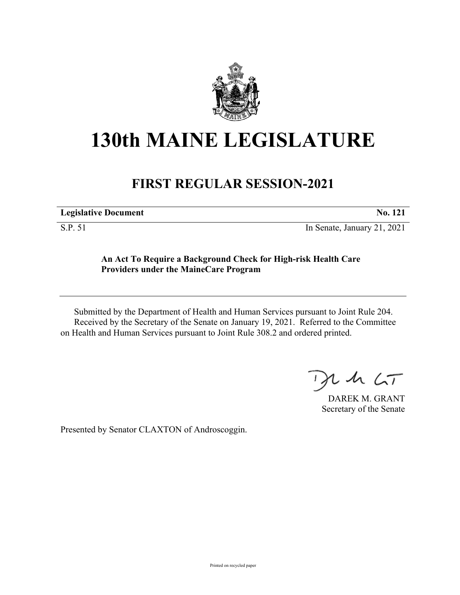

## **130th MAINE LEGISLATURE**

## **FIRST REGULAR SESSION-2021**

**Legislative Document No. 121**

S.P. 51 In Senate, January 21, 2021

## **An Act To Require a Background Check for High-risk Health Care Providers under the MaineCare Program**

Submitted by the Department of Health and Human Services pursuant to Joint Rule 204. Received by the Secretary of the Senate on January 19, 2021. Referred to the Committee on Health and Human Services pursuant to Joint Rule 308.2 and ordered printed.

 $125$ 

DAREK M. GRANT Secretary of the Senate

Presented by Senator CLAXTON of Androscoggin.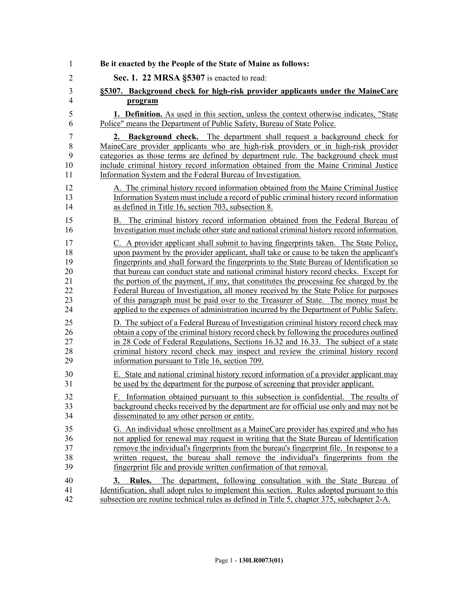| 1              | Be it enacted by the People of the State of Maine as follows:                                                                                                                                                                                                                       |
|----------------|-------------------------------------------------------------------------------------------------------------------------------------------------------------------------------------------------------------------------------------------------------------------------------------|
| $\overline{2}$ | Sec. 1. 22 MRSA §5307 is enacted to read:                                                                                                                                                                                                                                           |
| $\mathfrak{Z}$ | §5307. Background check for high-risk provider applicants under the MaineCare                                                                                                                                                                                                       |
| $\overline{4}$ | program                                                                                                                                                                                                                                                                             |
| 5              | 1. Definition. As used in this section, unless the context otherwise indicates, "State                                                                                                                                                                                              |
| 6              | Police" means the Department of Public Safety, Bureau of State Police.                                                                                                                                                                                                              |
| 7              | 2. Background check. The department shall request a background check for                                                                                                                                                                                                            |
| 8              | MaineCare provider applicants who are high-risk providers or in high-risk provider                                                                                                                                                                                                  |
| 9              | categories as those terms are defined by department rule. The background check must                                                                                                                                                                                                 |
| 10             | include criminal history record information obtained from the Maine Criminal Justice                                                                                                                                                                                                |
| 11             | Information System and the Federal Bureau of Investigation.                                                                                                                                                                                                                         |
| 12             | A. The criminal history record information obtained from the Maine Criminal Justice                                                                                                                                                                                                 |
| 13             | Information System must include a record of public criminal history record information                                                                                                                                                                                              |
| 14             | as defined in Title 16, section 703, subsection 8.                                                                                                                                                                                                                                  |
| 15             | B. The criminal history record information obtained from the Federal Bureau of                                                                                                                                                                                                      |
| 16             | Investigation must include other state and national criminal history record information.                                                                                                                                                                                            |
| 17             | C. A provider applicant shall submit to having fingerprints taken. The State Police,                                                                                                                                                                                                |
| 18             | upon payment by the provider applicant, shall take or cause to be taken the applicant's                                                                                                                                                                                             |
| 19             | fingerprints and shall forward the fingerprints to the State Bureau of Identification so                                                                                                                                                                                            |
| 20             | that bureau can conduct state and national criminal history record checks. Except for                                                                                                                                                                                               |
| 21             | the portion of the payment, if any, that constitutes the processing fee charged by the                                                                                                                                                                                              |
| 22             | Federal Bureau of Investigation, all money received by the State Police for purposes                                                                                                                                                                                                |
| 23             | of this paragraph must be paid over to the Treasurer of State. The money must be                                                                                                                                                                                                    |
| 24             | applied to the expenses of administration incurred by the Department of Public Safety.                                                                                                                                                                                              |
| 25             | D. The subject of a Federal Bureau of Investigation criminal history record check may                                                                                                                                                                                               |
| 26             | obtain a copy of the criminal history record check by following the procedures outlined                                                                                                                                                                                             |
| 27             | in 28 Code of Federal Regulations, Sections 16.32 and 16.33. The subject of a state                                                                                                                                                                                                 |
| 28             | criminal history record check may inspect and review the criminal history record                                                                                                                                                                                                    |
| 29             | information pursuant to Title 16, section 709.                                                                                                                                                                                                                                      |
| 30             | E. State and national criminal history record information of a provider applicant may                                                                                                                                                                                               |
| 31             | be used by the department for the purpose of screening that provider applicant.                                                                                                                                                                                                     |
| 32             | Information obtained pursuant to this subsection is confidential. The results of                                                                                                                                                                                                    |
| 33             | background checks received by the department are for official use only and may not be                                                                                                                                                                                               |
| 34             | disseminated to any other person or entity.                                                                                                                                                                                                                                         |
| 35             | G. An individual whose enrollment as a MaineCare provider has expired and who has                                                                                                                                                                                                   |
| 36             | not applied for renewal may request in writing that the State Bureau of Identification                                                                                                                                                                                              |
| 37             | remove the individual's fingerprints from the bureau's fingerprint file. In response to a                                                                                                                                                                                           |
| 38             | written request, the bureau shall remove the individual's fingerprints from the                                                                                                                                                                                                     |
| 39             | fingerprint file and provide written confirmation of that removal.                                                                                                                                                                                                                  |
| 40<br>41<br>42 | The department, following consultation with the State Bureau of<br><b>Rules.</b><br>3.<br>Identification, shall adopt rules to implement this section. Rules adopted pursuant to this<br>subsection are routine technical rules as defined in Title 5, chapter 375, subchapter 2-A. |